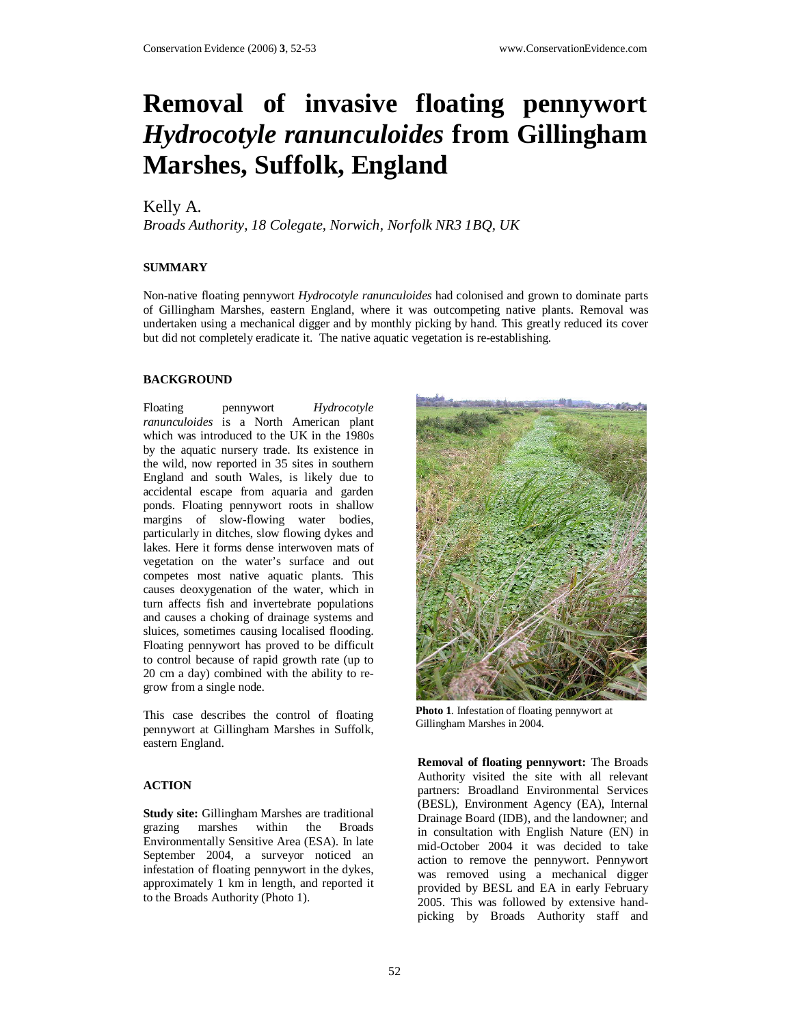# **Removal of invasive floating pennywort**  *Hydrocotyle ranunculoides* **from Gillingham Marshes, Suffolk, England**

## Kelly A.

*Broads Authority, 18 Colegate, Norwich, Norfolk NR3 1BQ, UK* 

### **SUMMARY**

Non-native floating pennywort *Hydrocotyle ranunculoides* had colonised and grown to dominate parts of Gillingham Marshes, eastern England, where it was outcompeting native plants. Removal was undertaken using a mechanical digger and by monthly picking by hand. This greatly reduced its cover but did not completely eradicate it. The native aquatic vegetation is re-establishing.

#### **BACKGROUND**

Floating pennywort *Hydrocotyle ranunculoides* is a North American plant which was introduced to the UK in the 1980s by the aquatic nursery trade. Its existence in the wild, now reported in 35 sites in southern England and south Wales, is likely due to accidental escape from aquaria and garden ponds. Floating pennywort roots in shallow margins of slow-flowing water bodies, particularly in ditches, slow flowing dykes and lakes. Here it forms dense interwoven mats of vegetation on the water's surface and out competes most native aquatic plants. This causes deoxygenation of the water, which in turn affects fish and invertebrate populations and causes a choking of drainage systems and sluices, sometimes causing localised flooding. Floating pennywort has proved to be difficult to control because of rapid growth rate (up to 20 cm a day) combined with the ability to regrow from a single node.

This case describes the control of floating pennywort at Gillingham Marshes in Suffolk, eastern England.

#### **ACTION**

**Study site:** Gillingham Marshes are traditional grazing marshes within the Broads marshes within the Broads Environmentally Sensitive Area (ESA). In late September 2004, a surveyor noticed an infestation of floating pennywort in the dykes, approximately 1 km in length, and reported it to the Broads Authority (Photo 1).



**Photo 1**. Infestation of floating pennywort at Gillingham Marshes in 2004.

**Removal of floating pennywort:** The Broads Authority visited the site with all relevant partners: Broadland Environmental Services (BESL), Environment Agency (EA), Internal Drainage Board (IDB), and the landowner; and in consultation with English Nature (EN) in mid-October 2004 it was decided to take action to remove the pennywort. Pennywort was removed using a mechanical digger provided by BESL and EA in early February 2005. This was followed by extensive handpicking by Broads Authority staff and